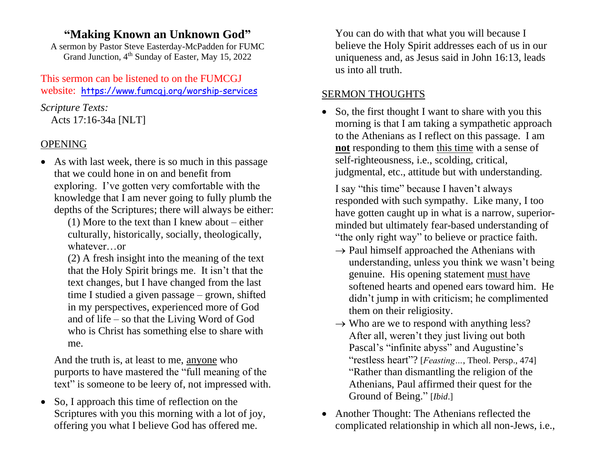# **"Making Known an Unknown God"**

A sermon by Pastor Steve Easterday-McPadden for FUMC Grand Junction, 4<sup>th</sup> Sunday of Easter, May 15, 2022

This sermon can be listened to on the FUMCGJ website: https://www.fumcgj.org/worship-services

*Scripture Texts:* Acts 17:16-34a [NLT]

### OPENING

• As with last week, there is so much in this passage that we could hone in on and benefit from exploring. I've gotten very comfortable with the knowledge that I am never going to fully plumb the depths of the Scriptures; there will always be either:

(1) More to the text than I knew about – either culturally, historically, socially, theologically, whatever…or

(2) A fresh insight into the meaning of the text that the Holy Spirit brings me. It isn't that the text changes, but I have changed from the last time I studied a given passage – grown, shifted in my perspectives, experienced more of God and of life – so that the Living Word of God who is Christ has something else to share with me.

And the truth is, at least to me, anyone who purports to have mastered the "full meaning of the text" is someone to be leery of, not impressed with.

• So, I approach this time of reflection on the Scriptures with you this morning with a lot of joy, offering you what I believe God has offered me.

You can do with that what you will because I believe the Holy Spirit addresses each of us in our uniqueness and, as Jesus said in John 16:13, leads us into all truth.

## SERMON THOUGHTS

• So, the first thought I want to share with you this morning is that I am taking a sympathetic approach to the Athenians as I reflect on this passage. I am **not** responding to them this time with a sense of self-righteousness, i.e., scolding, critical, judgmental, etc., attitude but with understanding.

I say "this time" because I haven't always responded with such sympathy. Like many, I too have gotten caught up in what is a narrow, superiorminded but ultimately fear-based understanding of "the only right way" to believe or practice faith.

- $\rightarrow$  Paul himself approached the Athenians with understanding, unless you think we wasn't being genuine. His opening statement must have softened hearts and opened ears toward him. He didn't jump in with criticism; he complimented them on their religiosity.
- $\rightarrow$  Who are we to respond with anything less? After all, weren't they just living out both Pascal's "infinite abyss" and Augustine's "restless heart"? [*Feasting…*, Theol. Persp., 474] "Rather than dismantling the religion of the Athenians, Paul affirmed their quest for the Ground of Being." [*Ibid*.]
- Another Thought: The Athenians reflected the complicated relationship in which all non-Jews, i.e.,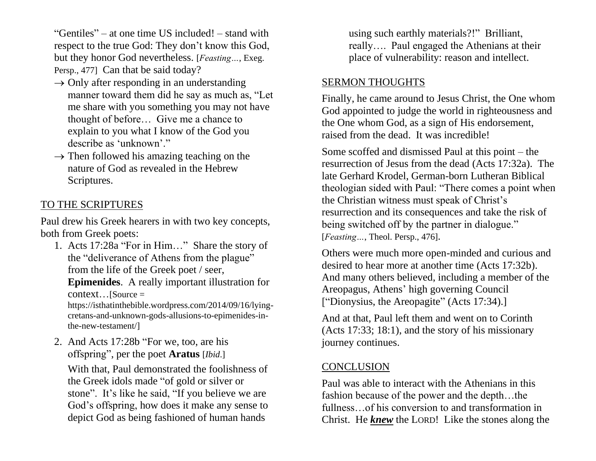"Gentiles" – at one time US included! – stand with respect to the true God: They don't know this God, but they honor God nevertheless. [*Feasting…*, Exeg. Persp., 477] Can that be said today?

- $\rightarrow$  Only after responding in an understanding manner toward them did he say as much as, "Let me share with you something you may not have thought of before… Give me a chance to explain to you what I know of the God you describe as 'unknown'."
- $\rightarrow$  Then followed his amazing teaching on the nature of God as revealed in the Hebrew Scriptures.

#### TO THE SCRIPTURES

Paul drew his Greek hearers in with two key concepts, both from Greek poets:

- 1. Acts 17:28a "For in Him…" Share the story of the "deliverance of Athens from the plague" from the life of the Greek poet / seer, **Epimenides**. A really important illustration for context…[Source = https://isthatinthebible.wordpress.com/2014/09/16/lyingcretans-and-unknown-gods-allusions-to-epimenides-inthe-new-testament/]
- 2. And Acts 17:28b "For we, too, are his offspring", per the poet **Aratus** [*Ibid*.]

With that, Paul demonstrated the foolishness of the Greek idols made "of gold or silver or stone". It's like he said, "If you believe we are God's offspring, how does it make any sense to depict God as being fashioned of human hands

using such earthly materials?!" Brilliant, really…. Paul engaged the Athenians at their place of vulnerability: reason and intellect.

#### SERMON THOUGHTS

Finally, he came around to Jesus Christ, the One whom God appointed to judge the world in righteousness and the One whom God, as a sign of His endorsement, raised from the dead. It was incredible!

Some scoffed and dismissed Paul at this point – the resurrection of Jesus from the dead (Acts 17:32a). The late Gerhard Krodel, German-born Lutheran Biblical theologian sided with Paul: "There comes a point when the Christian witness must speak of Christ's resurrection and its consequences and take the risk of being switched off by the partner in dialogue." [*Feasting…*, Theol. Persp., 476].

Others were much more open-minded and curious and desired to hear more at another time (Acts 17:32b). And many others believed, including a member of the Areopagus, Athens' high governing Council ["Dionysius, the Areopagite" (Acts 17:34).]

And at that, Paul left them and went on to Corinth (Acts 17:33; 18:1), and the story of his missionary journey continues.

### **CONCLUSION**

Paul was able to interact with the Athenians in this fashion because of the power and the depth…the fullness…of his conversion to and transformation in Christ. He *knew* the LORD! Like the stones along the